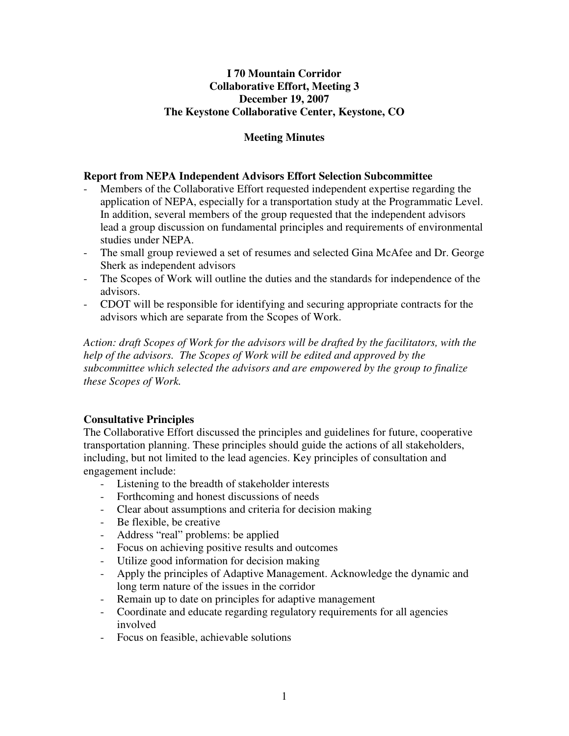# **I 70 Mountain Corridor Collaborative Effort, Meeting 3 December 19, 2007 The Keystone Collaborative Center, Keystone, CO**

# **Meeting Minutes**

## **Report from NEPA Independent Advisors Effort Selection Subcommittee**

- Members of the Collaborative Effort requested independent expertise regarding the application of NEPA, especially for a transportation study at the Programmatic Level. In addition, several members of the group requested that the independent advisors lead a group discussion on fundamental principles and requirements of environmental studies under NEPA.
- The small group reviewed a set of resumes and selected Gina McAfee and Dr. George Sherk as independent advisors
- The Scopes of Work will outline the duties and the standards for independence of the advisors.
- CDOT will be responsible for identifying and securing appropriate contracts for the advisors which are separate from the Scopes of Work.

*Action: draft Scopes of Work for the advisors will be drafted by the facilitators, with the help of the advisors. The Scopes of Work will be edited and approved by the subcommittee which selected the advisors and are empowered by the group to finalize these Scopes of Work.*

# **Consultative Principles**

The Collaborative Effort discussed the principles and guidelines for future, cooperative transportation planning. These principles should guide the actions of all stakeholders, including, but not limited to the lead agencies. Key principles of consultation and engagement include:

- Listening to the breadth of stakeholder interests
- Forthcoming and honest discussions of needs
- Clear about assumptions and criteria for decision making
- Be flexible, be creative
- Address "real" problems: be applied
- Focus on achieving positive results and outcomes
- Utilize good information for decision making
- Apply the principles of Adaptive Management. Acknowledge the dynamic and long term nature of the issues in the corridor
- Remain up to date on principles for adaptive management
- Coordinate and educate regarding regulatory requirements for all agencies involved
- Focus on feasible, achievable solutions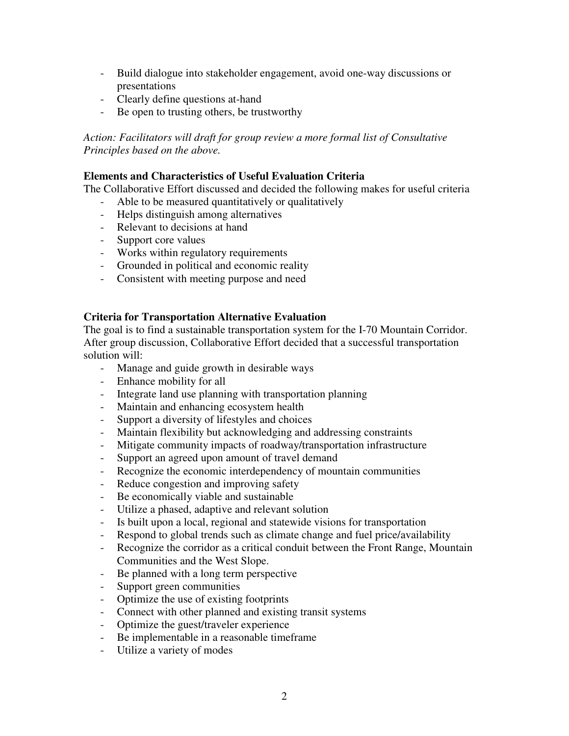- Build dialogue into stakeholder engagement, avoid one-way discussions or presentations
- Clearly define questions at-hand
- Be open to trusting others, be trustworthy

*Action: Facilitators will draft for group review a more formal list of Consultative Principles based on the above.*

## **Elements and Characteristics of Useful Evaluation Criteria**

The Collaborative Effort discussed and decided the following makes for useful criteria

- Able to be measured quantitatively or qualitatively
- Helps distinguish among alternatives
- Relevant to decisions at hand
- Support core values
- Works within regulatory requirements
- Grounded in political and economic reality
- Consistent with meeting purpose and need

# **Criteria for Transportation Alternative Evaluation**

The goal is to find a sustainable transportation system for the I-70 Mountain Corridor. After group discussion, Collaborative Effort decided that a successful transportation solution will:

- Manage and guide growth in desirable ways
- Enhance mobility for all
- Integrate land use planning with transportation planning
- Maintain and enhancing ecosystem health
- Support a diversity of lifestyles and choices
- Maintain flexibility but acknowledging and addressing constraints
- Mitigate community impacts of roadway/transportation infrastructure
- Support an agreed upon amount of travel demand
- Recognize the economic interdependency of mountain communities
- Reduce congestion and improving safety
- Be economically viable and sustainable
- Utilize a phased, adaptive and relevant solution
- Is built upon a local, regional and statewide visions for transportation
- Respond to global trends such as climate change and fuel price/availability
- Recognize the corridor as a critical conduit between the Front Range, Mountain Communities and the West Slope.
- Be planned with a long term perspective
- Support green communities
- Optimize the use of existing footprints
- Connect with other planned and existing transit systems
- Optimize the guest/traveler experience
- Be implementable in a reasonable timeframe
- Utilize a variety of modes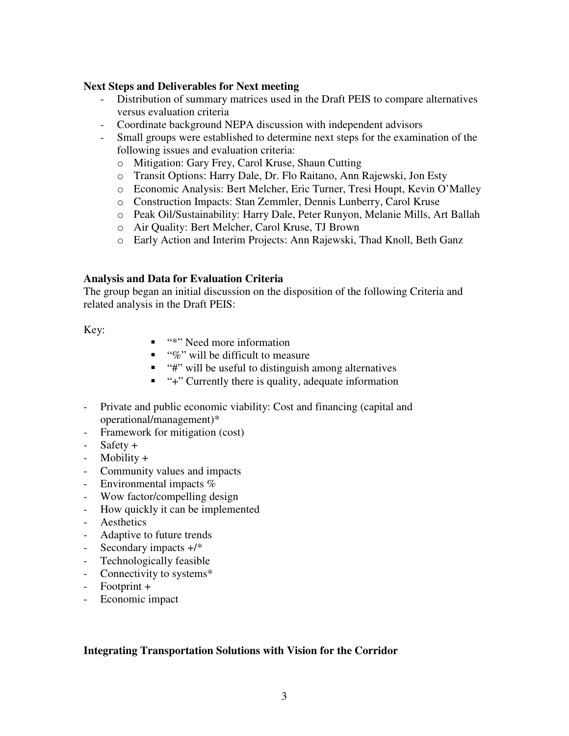### **Next Steps and Deliverables for Next meeting**

- Distribution of summary matrices used in the Draft PEIS to compare alternatives versus evaluation criteria
- Coordinate background NEPA discussion with independent advisors
- Small groups were established to determine next steps for the examination of the following issues and evaluation criteria:
	- o Mitigation: Gary Frey, Carol Kruse, Shaun Cutting
	- o Transit Options: Harry Dale, Dr. Flo Raitano, Ann Rajewski, Jon Esty
	- o Economic Analysis: Bert Melcher, Eric Turner, Tresi Houpt, Kevin O'Malley
	- o Construction Impacts: Stan Zemmler, Dennis Lunberry, Carol Kruse
	- o Peak Oil/Sustainability: Harry Dale, Peter Runyon, Melanie Mills, Art Ballah
	- o Air Quality: Bert Melcher, Carol Kruse, TJ Brown
	- o Early Action and Interim Projects: Ann Rajewski, Thad Knoll, Beth Ganz

#### **Analysis and Data for Evaluation Criteria**

The group began an initial discussion on the disposition of the following Criteria and related analysis in the Draft PEIS:

Key:

- "\*" Need more information
- $\blacksquare$  "%" will be difficult to measure
- $"$  "#" will be useful to distinguish among alternatives
- "+" Currently there is quality, adequate information
- Private and public economic viability: Cost and financing (capital and operational/management)\*
- Framework for mitigation (cost)
- Safety +
- Mobility +
- Community values and impacts
- Environmental impacts  $%$
- Wow factor/compelling design
- How quickly it can be implemented
- Aesthetics
- Adaptive to future trends
- Secondary impacts  $+$ /\*
- Technologically feasible
- Connectivity to systems\*
- Footprint +
- Economic impact

#### **Integrating Transportation Solutions with Vision for the Corridor**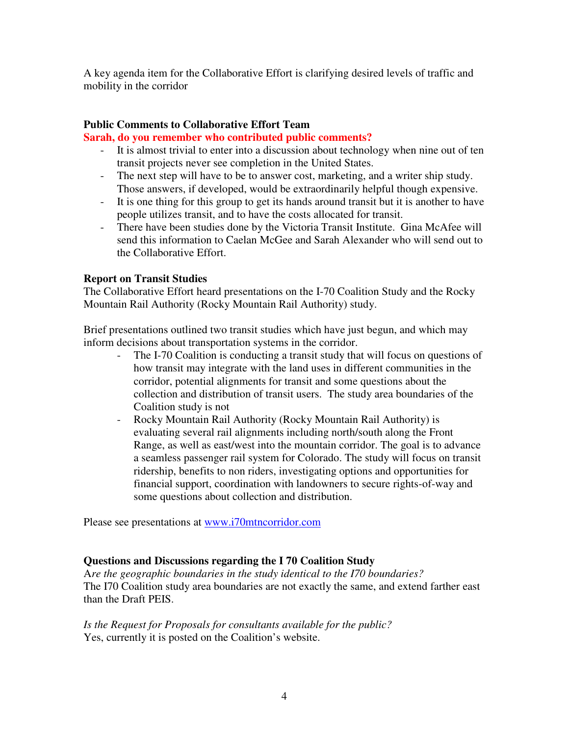A key agenda item for the Collaborative Effort is clarifying desired levels of traffic and mobility in the corridor

# **Public Comments to Collaborative Effort Team**

# **Sarah, do you remember who contributed public comments?**

- It is almost trivial to enter into a discussion about technology when nine out of ten transit projects never see completion in the United States.
- The next step will have to be to answer cost, marketing, and a writer ship study. Those answers, if developed, would be extraordinarily helpful though expensive.
- It is one thing for this group to get its hands around transit but it is another to have people utilizes transit, and to have the costs allocated for transit.
- There have been studies done by the Victoria Transit Institute. Gina McAfee will send this information to Caelan McGee and Sarah Alexander who will send out to the Collaborative Effort.

# **Report on Transit Studies**

The Collaborative Effort heard presentations on the I-70 Coalition Study and the Rocky Mountain Rail Authority (Rocky Mountain Rail Authority) study.

Brief presentations outlined two transit studies which have just begun, and which may inform decisions about transportation systems in the corridor.

- The I-70 Coalition is conducting a transit study that will focus on questions of how transit may integrate with the land uses in different communities in the corridor, potential alignments for transit and some questions about the collection and distribution of transit users. The study area boundaries of the Coalition study is not
- Rocky Mountain Rail Authority (Rocky Mountain Rail Authority) is evaluating several rail alignments including north/south along the Front Range, as well as east/west into the mountain corridor. The goal is to advance a seamless passenger rail system for Colorado. The study will focus on transit ridership, benefits to non riders, investigating options and opportunities for financial support, coordination with landowners to secure rights-of-way and some questions about collection and distribution.

Please see presentations at www.i70mtncorridor.com

# **Questions and Discussions regarding the I 70 Coalition Study**

A*re the geographic boundaries in the study identical to the I70 boundaries?* The I70 Coalition study area boundaries are not exactly the same, and extend farther east than the Draft PEIS.

*Is the Request for Proposals for consultants available for the public?* Yes, currently it is posted on the Coalition's website.